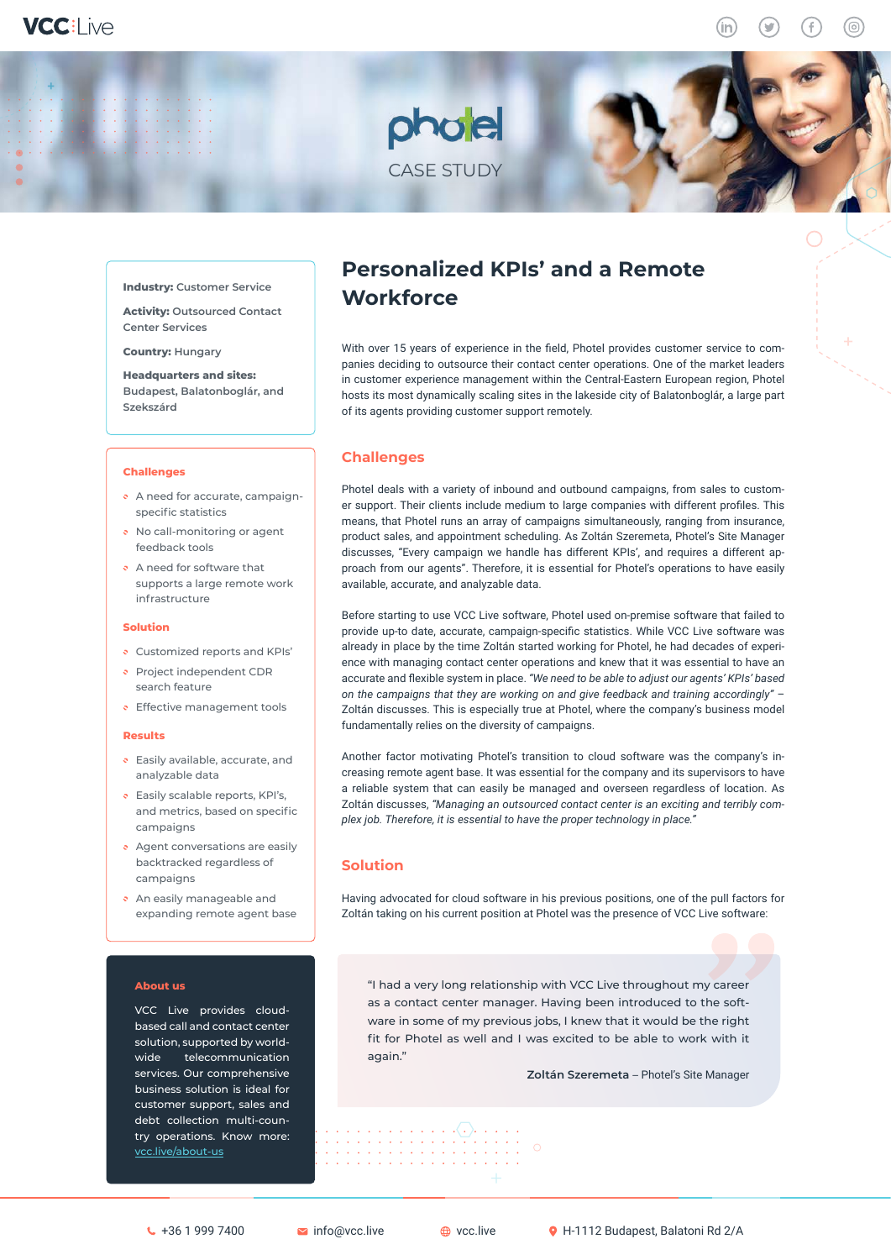**Industry: Customer Service** 

**Activity: Outsourced Contact Center Services**

**Country: Hungary** 

**Headquarters and sites: Budapest, Balatonboglár, and Szekszárd**

#### **Challenges**

- A need for accurate, campaignspecific statistics
- No call-monitoring or agent feedback tools
- A need for software that supports a large remote work infrastructure

### **Solution**

- Customized reports and KPIs'
- Project independent CDR search feature
- **Effective management tools**

### **Results**

- **Easily available, accurate, and** analyzable data
- Easily scalable reports, KPI's, and metrics, based on specific campaigns
- Agent conversations are easily backtracked regardless of campaigns
- An easily manageable and expanding remote agent base

### **About us**

VCC Live provides cloudbased call and contact center solution, supported by worldwide telecommunication services. Our comprehensive business solution is ideal for customer support, sales and debt collection multi-country operations. Know more: [vcc.live/about-us](http://vcc.live/about-us)

# **Personalized KPIs' and a Remote Workforce**

CASE STUDY

pholel

With over 15 years of experience in the field, Photel provides customer service to companies deciding to outsource their contact center operations. One of the market leaders in customer experience management within the Central-Eastern European region, Photel hosts its most dynamically scaling sites in the lakeside city of Balatonboglár, a large part of its agents providing customer support remotely.

## **Challenges**

Photel deals with a variety of inbound and outbound campaigns, from sales to customer support. Their clients include medium to large companies with different profiles. This means, that Photel runs an array of campaigns simultaneously, ranging from insurance, product sales, and appointment scheduling. As Zoltán Szeremeta, Photel's Site Manager discusses, "Every campaign we handle has different KPIs', and requires a different approach from our agents". Therefore, it is essential for Photel's operations to have easily available, accurate, and analyzable data.

Before starting to use VCC Live software, Photel used on-premise software that failed to provide up-to date, accurate, campaign-specific statistics. While VCC Live software was already in place by the time Zoltán started working for Photel, he had decades of experience with managing contact center operations and knew that it was essential to have an accurate and flexible system in place. *"We need to be able to adjust our agents' KPIs' based on the campaigns that they are working on and give feedback and training accordingly"* – Zoltán discusses. This is especially true at Photel, where the company's business model fundamentally relies on the diversity of campaigns.

Another factor motivating Photel's transition to cloud software was the company's increasing remote agent base. It was essential for the company and its supervisors to have a reliable system that can easily be managed and overseen regardless of location. As Zoltán discusses, *"Managing an outsourced contact center is an exciting and terribly complex job. Therefore, it is essential to have the proper technology in place."*

# **Solution**

Having advocated for cloud software in his previous positions, one of the pull factors for Zoltán taking on his current position at Photel was the presence of VCC Live software:

"I had a very long relationship with VCC Live throughout my career as a contact center manager. Having been introduced to the software in some of my previous jobs, I knew that it would be the right fit for Photel as well and I was excited to be able to work with it again."

**Zoltán Szeremeta** – Photel's Site Manager